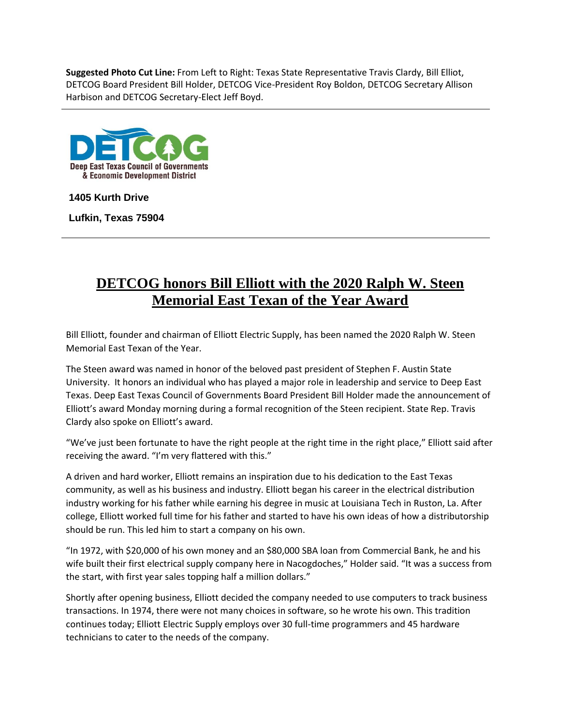**Suggested Photo Cut Line:** From Left to Right: Texas State Representative Travis Clardy, Bill Elliot, DETCOG Board President Bill Holder, DETCOG Vice-President Roy Boldon, DETCOG Secretary Allison Harbison and DETCOG Secretary-Elect Jeff Boyd.



**1405 Kurth Drive**

**Lufkin, Texas 75904**

## **DETCOG honors Bill Elliott with the 2020 Ralph W. Steen Memorial East Texan of the Year Award**

Bill Elliott, founder and chairman of Elliott Electric Supply, has been named the 2020 Ralph W. Steen Memorial East Texan of the Year.

The Steen award was named in honor of the beloved past president of Stephen F. Austin State University. It honors an individual who has played a major role in leadership and service to Deep East Texas. Deep East Texas Council of Governments Board President Bill Holder made the announcement of Elliott's award Monday morning during a formal recognition of the Steen recipient. State Rep. Travis Clardy also spoke on Elliott's award.

"We've just been fortunate to have the right people at the right time in the right place," Elliott said after receiving the award. "I'm very flattered with this."

A driven and hard worker, Elliott remains an inspiration due to his dedication to the East Texas community, as well as his business and industry. Elliott began his career in the electrical distribution industry working for his father while earning his degree in music at Louisiana Tech in Ruston, La. After college, Elliott worked full time for his father and started to have his own ideas of how a distributorship should be run. This led him to start a company on his own.

"In 1972, with \$20,000 of his own money and an \$80,000 SBA loan from Commercial Bank, he and his wife built their first electrical supply company here in Nacogdoches," Holder said. "It was a success from the start, with first year sales topping half a million dollars."

Shortly after opening business, Elliott decided the company needed to use computers to track business transactions. In 1974, there were not many choices in software, so he wrote his own. This tradition continues today; Elliott Electric Supply employs over 30 full-time programmers and 45 hardware technicians to cater to the needs of the company.